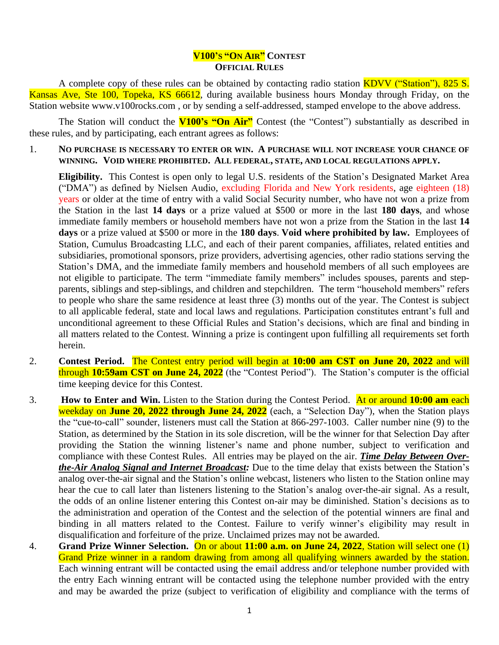## **V100'S "ON AIR" CONTEST OFFICIAL RULES**

A complete copy of these rules can be obtained by contacting radio station KDVV ("Station"), 825 S. Kansas Ave, Ste 100, Topeka, KS 66612, during available business hours Monday through Friday, on the Station website www.v100rocks.com , or by sending a self-addressed, stamped envelope to the above address.

The Station will conduct the **V100's "On Air"** Contest (the "Contest") substantially as described in these rules, and by participating, each entrant agrees as follows:

1. **NO PURCHASE IS NECESSARY TO ENTER OR WIN. A PURCHASE WILL NOT INCREASE YOUR CHANCE OF WINNING. VOID WHERE PROHIBITED. ALL FEDERAL, STATE, AND LOCAL REGULATIONS APPLY.**

**Eligibility.** This Contest is open only to legal U.S. residents of the Station's Designated Market Area ("DMA") as defined by Nielsen Audio, excluding Florida and New York residents, age eighteen (18) years or older at the time of entry with a valid Social Security number, who have not won a prize from the Station in the last **14 days** or a prize valued at \$500 or more in the last **180 days**, and whose immediate family members or household members have not won a prize from the Station in the last **14 days** or a prize valued at \$500 or more in the **180 days**. **Void where prohibited by law.** Employees of Station, Cumulus Broadcasting LLC, and each of their parent companies, affiliates, related entities and subsidiaries, promotional sponsors, prize providers, advertising agencies, other radio stations serving the Station's DMA, and the immediate family members and household members of all such employees are not eligible to participate. The term "immediate family members" includes spouses, parents and stepparents, siblings and step-siblings, and children and stepchildren. The term "household members" refers to people who share the same residence at least three (3) months out of the year. The Contest is subject to all applicable federal, state and local laws and regulations. Participation constitutes entrant's full and unconditional agreement to these Official Rules and Station's decisions, which are final and binding in all matters related to the Contest. Winning a prize is contingent upon fulfilling all requirements set forth herein.

- 2. **Contest Period.** The Contest entry period will begin at **10:00 am CST on June 20, 2022** and will through **10:59am CST on June 24, 2022** (the "Contest Period"). The Station's computer is the official time keeping device for this Contest.
- 3. **How to Enter and Win.** Listen to the Station during the Contest Period. At or around **10:00 am** each weekday on **June 20, 2022 through June 24, 2022** (each, a "Selection Day"), when the Station plays the "cue-to-call" sounder, listeners must call the Station at 866-297-1003. Caller number nine (9) to the Station, as determined by the Station in its sole discretion, will be the winner for that Selection Day after providing the Station the winning listener's name and phone number, subject to verification and compliance with these Contest Rules. All entries may be played on the air. *Time Delay Between Overthe-Air Analog Signal and Internet Broadcast:* Due to the time delay that exists between the Station's analog over-the-air signal and the Station's online webcast, listeners who listen to the Station online may hear the cue to call later than listeners listening to the Station's analog over-the-air signal. As a result, the odds of an online listener entering this Contest on-air may be diminished. Station's decisions as to the administration and operation of the Contest and the selection of the potential winners are final and binding in all matters related to the Contest. Failure to verify winner's eligibility may result in disqualification and forfeiture of the prize. Unclaimed prizes may not be awarded.
- 4. **Grand Prize Winner Selection.** On or about **11:00 a.m. on June 24, 2022**, Station will select one (1) Grand Prize winner in a random drawing from among all qualifying winners awarded by the station. Each winning entrant will be contacted using the email address and/or telephone number provided with the entry Each winning entrant will be contacted using the telephone number provided with the entry and may be awarded the prize (subject to verification of eligibility and compliance with the terms of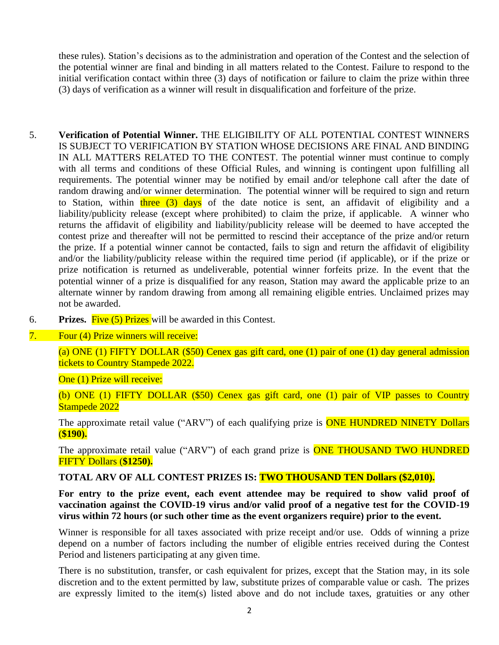these rules). Station's decisions as to the administration and operation of the Contest and the selection of the potential winner are final and binding in all matters related to the Contest. Failure to respond to the initial verification contact within three (3) days of notification or failure to claim the prize within three (3) days of verification as a winner will result in disqualification and forfeiture of the prize.

- 5. **Verification of Potential Winner.** THE ELIGIBILITY OF ALL POTENTIAL CONTEST WINNERS IS SUBJECT TO VERIFICATION BY STATION WHOSE DECISIONS ARE FINAL AND BINDING IN ALL MATTERS RELATED TO THE CONTEST. The potential winner must continue to comply with all terms and conditions of these Official Rules, and winning is contingent upon fulfilling all requirements. The potential winner may be notified by email and/or telephone call after the date of random drawing and/or winner determination. The potential winner will be required to sign and return to Station, within three  $(3)$  days of the date notice is sent, an affidavit of eligibility and a liability/publicity release (except where prohibited) to claim the prize, if applicable. A winner who returns the affidavit of eligibility and liability/publicity release will be deemed to have accepted the contest prize and thereafter will not be permitted to rescind their acceptance of the prize and/or return the prize. If a potential winner cannot be contacted, fails to sign and return the affidavit of eligibility and/or the liability/publicity release within the required time period (if applicable), or if the prize or prize notification is returned as undeliverable, potential winner forfeits prize. In the event that the potential winner of a prize is disqualified for any reason, Station may award the applicable prize to an alternate winner by random drawing from among all remaining eligible entries. Unclaimed prizes may not be awarded.
- 6. **Prizes.** Five (5) Prizes will be awarded in this Contest.

## 7. Four (4) Prize winners will receive:

(a) ONE (1) FIFTY DOLLAR (\$50) Cenex gas gift card, one (1) pair of one (1) day general admission tickets to Country Stampede 2022.

One (1) Prize will receive:

(b) ONE (1) FIFTY DOLLAR (\$50) Cenex gas gift card, one (1) pair of VIP passes to Country Stampede 2022

The approximate retail value ("ARV") of each qualifying prize is **ONE HUNDRED NINETY Dollars** (**\$190).** 

The approximate retail value ("ARV") of each grand prize is **ONE THOUSAND TWO HUNDRED** FIFTY Dollars (**\$1250).** 

## **TOTAL ARV OF ALL CONTEST PRIZES IS: TWO THOUSAND TEN Dollars (\$2,010).**

**For entry to the prize event, each event attendee may be required to show valid proof of vaccination against the COVID-19 virus and/or valid proof of a negative test for the COVID-19 virus within 72 hours (or such other time as the event organizers require) prior to the event.**

Winner is responsible for all taxes associated with prize receipt and/or use. Odds of winning a prize depend on a number of factors including the number of eligible entries received during the Contest Period and listeners participating at any given time.

There is no substitution, transfer, or cash equivalent for prizes, except that the Station may, in its sole discretion and to the extent permitted by law, substitute prizes of comparable value or cash. The prizes are expressly limited to the item(s) listed above and do not include taxes, gratuities or any other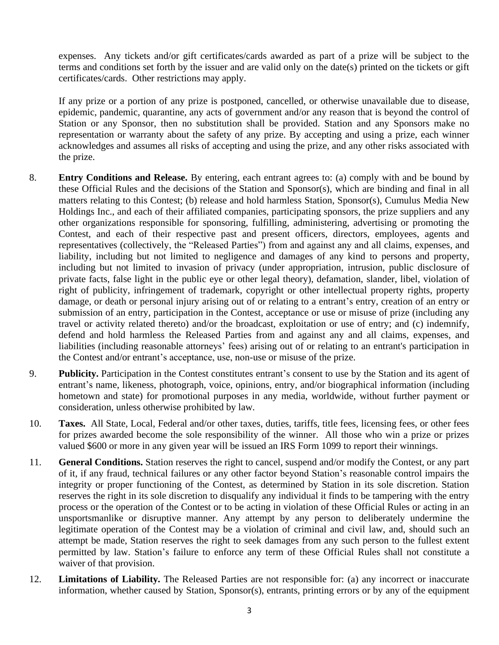expenses. Any tickets and/or gift certificates/cards awarded as part of a prize will be subject to the terms and conditions set forth by the issuer and are valid only on the date(s) printed on the tickets or gift certificates/cards. Other restrictions may apply.

If any prize or a portion of any prize is postponed, cancelled, or otherwise unavailable due to disease, epidemic, pandemic, quarantine, any acts of government and/or any reason that is beyond the control of Station or any Sponsor, then no substitution shall be provided. Station and any Sponsors make no representation or warranty about the safety of any prize. By accepting and using a prize, each winner acknowledges and assumes all risks of accepting and using the prize, and any other risks associated with the prize.

- 8. **Entry Conditions and Release.** By entering, each entrant agrees to: (a) comply with and be bound by these Official Rules and the decisions of the Station and Sponsor(s), which are binding and final in all matters relating to this Contest; (b) release and hold harmless Station, Sponsor(s), Cumulus Media New Holdings Inc., and each of their affiliated companies, participating sponsors, the prize suppliers and any other organizations responsible for sponsoring, fulfilling, administering, advertising or promoting the Contest, and each of their respective past and present officers, directors, employees, agents and representatives (collectively, the "Released Parties") from and against any and all claims, expenses, and liability, including but not limited to negligence and damages of any kind to persons and property, including but not limited to invasion of privacy (under appropriation, intrusion, public disclosure of private facts, false light in the public eye or other legal theory), defamation, slander, libel, violation of right of publicity, infringement of trademark, copyright or other intellectual property rights, property damage, or death or personal injury arising out of or relating to a entrant's entry, creation of an entry or submission of an entry, participation in the Contest, acceptance or use or misuse of prize (including any travel or activity related thereto) and/or the broadcast, exploitation or use of entry; and (c) indemnify, defend and hold harmless the Released Parties from and against any and all claims, expenses, and liabilities (including reasonable attorneys' fees) arising out of or relating to an entrant's participation in the Contest and/or entrant's acceptance, use, non-use or misuse of the prize.
- 9. **Publicity.** Participation in the Contest constitutes entrant's consent to use by the Station and its agent of entrant's name, likeness, photograph, voice, opinions, entry, and/or biographical information (including hometown and state) for promotional purposes in any media, worldwide, without further payment or consideration, unless otherwise prohibited by law.
- 10. **Taxes.** All State, Local, Federal and/or other taxes, duties, tariffs, title fees, licensing fees, or other fees for prizes awarded become the sole responsibility of the winner. All those who win a prize or prizes valued \$600 or more in any given year will be issued an IRS Form 1099 to report their winnings.
- 11. **General Conditions.** Station reserves the right to cancel, suspend and/or modify the Contest, or any part of it, if any fraud, technical failures or any other factor beyond Station's reasonable control impairs the integrity or proper functioning of the Contest, as determined by Station in its sole discretion. Station reserves the right in its sole discretion to disqualify any individual it finds to be tampering with the entry process or the operation of the Contest or to be acting in violation of these Official Rules or acting in an unsportsmanlike or disruptive manner. Any attempt by any person to deliberately undermine the legitimate operation of the Contest may be a violation of criminal and civil law, and, should such an attempt be made, Station reserves the right to seek damages from any such person to the fullest extent permitted by law. Station's failure to enforce any term of these Official Rules shall not constitute a waiver of that provision.
- 12. **Limitations of Liability.** The Released Parties are not responsible for: (a) any incorrect or inaccurate information, whether caused by Station, Sponsor(s), entrants, printing errors or by any of the equipment